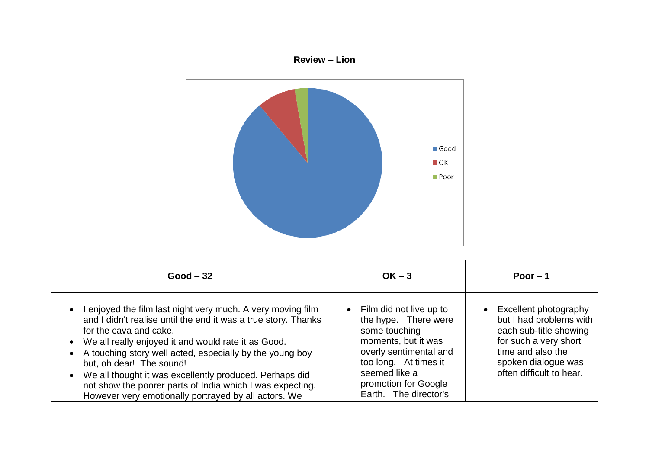



| $Good - 32$                                                                                                                                                                                                                                                                                                                                                                                                                                                                                  | $OK - 3$                                                                                                                                                                                                                  | Poor $-1$                                                                                                                                                                                |
|----------------------------------------------------------------------------------------------------------------------------------------------------------------------------------------------------------------------------------------------------------------------------------------------------------------------------------------------------------------------------------------------------------------------------------------------------------------------------------------------|---------------------------------------------------------------------------------------------------------------------------------------------------------------------------------------------------------------------------|------------------------------------------------------------------------------------------------------------------------------------------------------------------------------------------|
| I enjoyed the film last night very much. A very moving film<br>and I didn't realise until the end it was a true story. Thanks<br>for the cava and cake.<br>• We all really enjoyed it and would rate it as Good.<br>• A touching story well acted, especially by the young boy<br>but, oh dear! The sound!<br>• We all thought it was excellently produced. Perhaps did<br>not show the poorer parts of India which I was expecting.<br>However very emotionally portrayed by all actors. We | Film did not live up to<br>$\bullet$<br>the hype. There were<br>some touching<br>moments, but it was<br>overly sentimental and<br>too long. At times it<br>seemed like a<br>promotion for Google<br>Earth. The director's | Excellent photography<br>$\bullet$<br>but I had problems with<br>each sub-title showing<br>for such a very short<br>time and also the<br>spoken dialogue was<br>often difficult to hear. |